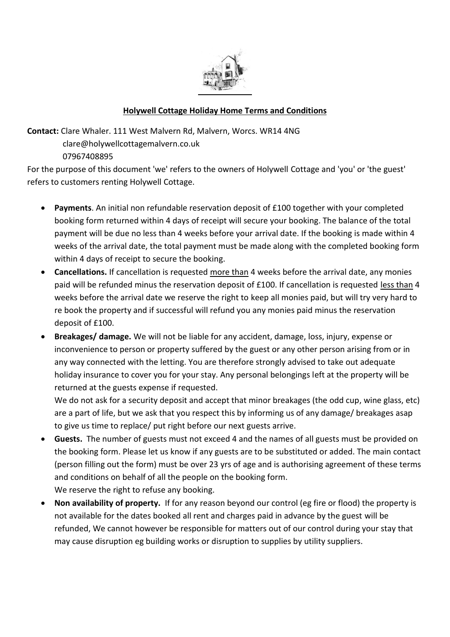

## **Holywell Cottage Holiday Home Terms and Conditions**

**Contact:** Clare Whaler. 111 West Malvern Rd, Malvern, Worcs. WR14 4NG

 clare@holywellcottagemalvern.co.uk 07967408895

For the purpose of this document 'we' refers to the owners of Holywell Cottage and 'you' or 'the guest' refers to customers renting Holywell Cottage.

- **Payments**. An initial non refundable reservation deposit of £100 together with your completed booking form returned within 4 days of receipt will secure your booking. The balance of the total payment will be due no less than 4 weeks before your arrival date. If the booking is made within 4 weeks of the arrival date, the total payment must be made along with the completed booking form within 4 days of receipt to secure the booking.
- **Cancellations.** If cancellation is requested more than 4 weeks before the arrival date, any monies paid will be refunded minus the reservation deposit of £100. If cancellation is requested less than 4 weeks before the arrival date we reserve the right to keep all monies paid, but will try very hard to re book the property and if successful will refund you any monies paid minus the reservation deposit of £100.
- **Breakages/ damage.** We will not be liable for any accident, damage, loss, injury, expense or inconvenience to person or property suffered by the guest or any other person arising from or in any way connected with the letting. You are therefore strongly advised to take out adequate holiday insurance to cover you for your stay. Any personal belongings left at the property will be returned at the guests expense if requested.

We do not ask for a security deposit and accept that minor breakages (the odd cup, wine glass, etc) are a part of life, but we ask that you respect this by informing us of any damage/ breakages asap to give us time to replace/ put right before our next guests arrive.

- **Guests.** The number of guests must not exceed 4 and the names of all guests must be provided on the booking form. Please let us know if any guests are to be substituted or added. The main contact (person filling out the form) must be over 23 yrs of age and is authorising agreement of these terms and conditions on behalf of all the people on the booking form. We reserve the right to refuse any booking.
- **Non availability of property.** If for any reason beyond our control (eg fire or flood) the property is not available for the dates booked all rent and charges paid in advance by the guest will be refunded, We cannot however be responsible for matters out of our control during your stay that may cause disruption eg building works or disruption to supplies by utility suppliers.